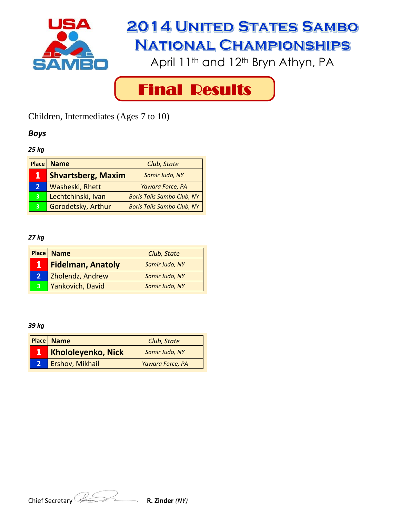

April 11<sup>th</sup> and 12<sup>th</sup> Bryn Athyn, PA



Children, Intermediates (Ages 7 to 10)

# *Boys*

#### *25 kg*

| <b>Place</b> | <b>Name</b>               | Club, State                       |
|--------------|---------------------------|-----------------------------------|
| 1            | <b>Shvartsberg, Maxim</b> | Samir Judo, NY                    |
| $\mathbf{2}$ | Washeski, Rhett           | Yawara Force, PA                  |
| $\mathbf{3}$ | Lechtchinski, Ivan        | <b>Boris Talis Sambo Club, NY</b> |
| 3            | Gorodetsky, Arthur        | <b>Boris Talis Sambo Club, NY</b> |

## *27 kg*

|             | <b>Place Name</b>        | Club, State    |
|-------------|--------------------------|----------------|
| 17          | <b>Fidelman, Anatoly</b> | Samir Judo, NY |
| $2^{\circ}$ | Zholendz, Andrew         | Samir Judo, NY |
| 3           | Yankovich, David         | Samir Judo, NY |

| <b>Place   Name</b>       | Club, State      |
|---------------------------|------------------|
| <b>Khololeyenko, Nick</b> | Samir Judo, NY   |
| Ershov, Mikhail           | Yawara Force, PA |

Chief Secretary **R. Zinder** *(NY)*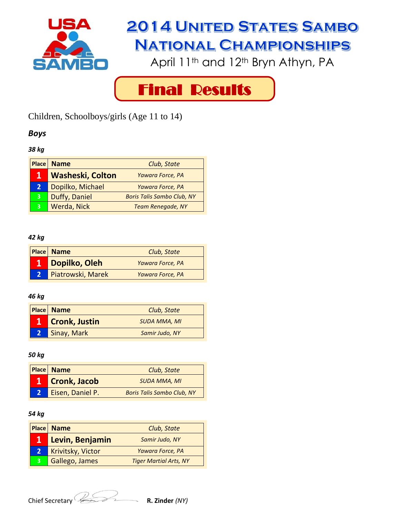

April 11<sup>th</sup> and 12<sup>th</sup> Bryn Athyn, PA



Children, Schoolboys/girls (Age 11 to 14)

# *Boys*

## *38 kg*

|              | Place   Name            | Club, State                       |
|--------------|-------------------------|-----------------------------------|
| 1            | <b>Washeski, Colton</b> | Yawara Force, PA                  |
| $\mathbf{2}$ | Dopilko, Michael        | Yawara Force, PA                  |
| 3            | Duffy, Daniel           | <b>Boris Talis Sambo Club, NY</b> |
| 3            | Werda, Nick             | <b>Team Renegade, NY</b>          |

#### *42 kg*

|    | <b>Place Name</b> | Club, State      |
|----|-------------------|------------------|
|    | Dopilko, Oleh     | Yawara Force, PA |
| V. | Piatrowski, Marek | Yawara Force, PA |

## *46 kg*

| <b>Place Name</b> | Club, State         |
|-------------------|---------------------|
| 1 Cronk, Justin   | <b>SUDA MMA, MI</b> |
| Sinay, Mark       | Samir Judo, NY      |

#### *50 kg*

| <b>Place Name</b>   | Club, State                       |
|---------------------|-----------------------------------|
| <b>Cronk, Jacob</b> | <b>SUDA MMA, MI</b>               |
| Eisen, Daniel P.    | <b>Boris Talis Sambo Club, NY</b> |

|             | <b>Place Name</b> | Club, State                   |
|-------------|-------------------|-------------------------------|
|             | Levin, Benjamin   | Samir Judo, NY                |
| $2^{\circ}$ | Krivitsky, Victor | Yawara Force, PA              |
| 3           | Gallego, James    | <b>Tiger Martial Arts, NY</b> |

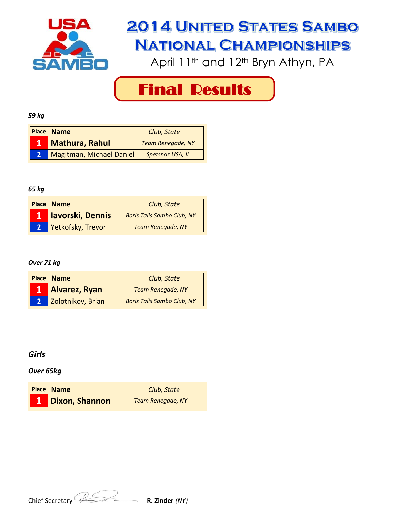

April 11<sup>th</sup> and 12<sup>th</sup> Bryn Athyn, PA

Final Results

#### *59 kg*

| <b>Place</b> Name        | Club, State              |
|--------------------------|--------------------------|
| <b>Mathura, Rahul</b>    | <b>Team Renegade, NY</b> |
| Magitman, Michael Daniel | Spetsnaz USA, IL         |

#### *65 kg*

| <b>Place Name</b>       | Club, State                       |
|-------------------------|-----------------------------------|
| <b>lavorski, Dennis</b> | <b>Boris Talis Sambo Club, NY</b> |
| Yetkofsky, Trevor       | <b>Team Renegade, NY</b>          |

#### *Over 71 kg*

|                | <b>Place Name</b>    | Club, State                       |
|----------------|----------------------|-----------------------------------|
|                | <b>Alvarez, Ryan</b> | <b>Team Renegade, NY</b>          |
| 2 <sup>1</sup> | Zolotnikov, Brian    | <b>Boris Talis Sambo Club, NY</b> |

## *Girls*

#### *Over 65kg*

| Place Name            | Club, State              |
|-----------------------|--------------------------|
| <b>Dixon, Shannon</b> | <b>Team Renegade, NY</b> |

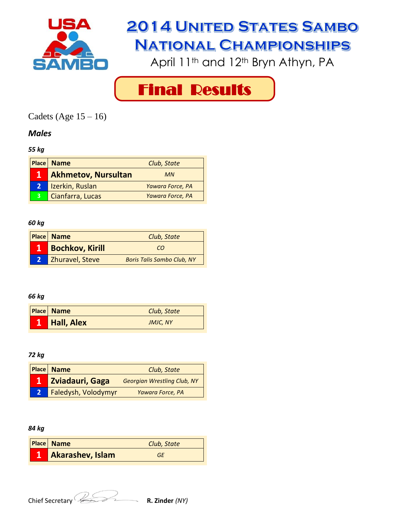

April 11<sup>th</sup> and 12<sup>th</sup> Bryn Athyn, PA



Cadets (Age  $15 - 16$ )

# *Males*

## *55 kg*

|                | <b>Place   Name</b>        | Club, State      |
|----------------|----------------------------|------------------|
| $\mathbf{1}$   | <b>Akhmetov, Nursultan</b> | <b>MN</b>        |
| 2 <sup>1</sup> | Izerkin, Ruslan            | Yawara Force, PA |
| $\overline{3}$ | Cianfarra, Lucas           | Yawara Force, PA |

## *60 kg*

| <b>Place Name</b>      | Club, State                       |
|------------------------|-----------------------------------|
| <b>Bochkov, Kirill</b> | CO                                |
| <b>Zhuravel, Steve</b> | <b>Boris Talis Sambo Club, NY</b> |

## *66 kg*

| <b>Place</b> Name | Club, State |
|-------------------|-------------|
| <b>Hall, Alex</b> | JMJC, NY    |

### *72 kg*

| <b>Place Name</b>   | Club, State                        |
|---------------------|------------------------------------|
| Zviadauri, Gaga     | <b>Georgian Wrestling Club, NY</b> |
| Faledysh, Volodymyr | Yawara Force, PA                   |

| <b>Place Name</b>       | Club, State |
|-------------------------|-------------|
| <b>Akarashev, Islam</b> | GF          |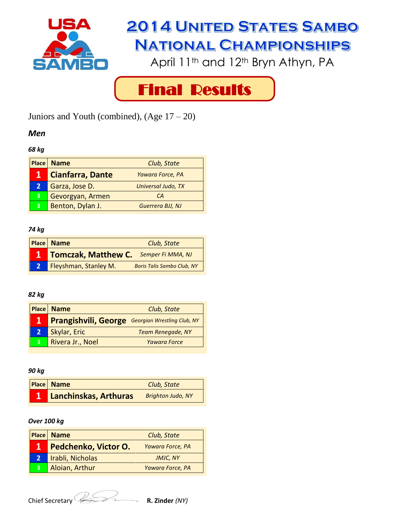

April 11<sup>th</sup> and 12<sup>th</sup> Bryn Athyn, PA



Juniors and Youth (combined),  $(Age 17 - 20)$ 

## *Men*

#### *68 kg*

| <b>Place</b> | <b>Name</b>             | Club, State        |
|--------------|-------------------------|--------------------|
|              | <b>Cianfarra, Dante</b> | Yawara Force, PA   |
| 2            | Garza, Jose D.          | Universal Judo, TX |
| 3            | Gevorgyan, Armen        | CА                 |
| 3            | Benton, Dylan J.        | Guerrera BJJ, NJ   |

## *74 kg*

|                | <b>Place</b> Name          | Club, State                       |
|----------------|----------------------------|-----------------------------------|
|                | <b>Tomczak, Matthew C.</b> | Semper Fi MMA, NJ                 |
| 2 <sup>1</sup> | Fleyshman, Stanley M.      | <b>Boris Talis Sambo Club, NY</b> |

# *82 kg*

|              | <b>Place Name</b>                                       | Club, State              |
|--------------|---------------------------------------------------------|--------------------------|
|              | <b>Prangishvili, George</b> Georgian Wrestling Club, NY |                          |
| $\mathbf{2}$ | Skylar, Eric                                            | <b>Team Renegade, NY</b> |
| 3            | Rivera Jr., Noel                                        | <b>Yawara Force</b>      |

*90 kg*

| <b>Place Name</b>     | Club, State              |
|-----------------------|--------------------------|
| Lanchinskas, Arthuras | <b>Brighton Judo, NY</b> |

### *Over 100 kg*

|                | <b>Place   Name</b>  | Club, State      |
|----------------|----------------------|------------------|
|                | Pedchenko, Victor O. | Yawara Force, PA |
| 2 <sup>1</sup> | Irabli, Nicholas     | <b>JMJC, NY</b>  |
| 3              | Aloian, Arthur       | Yawara Force, PA |

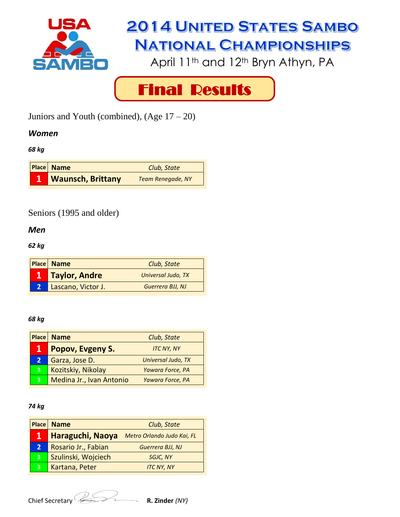

April 11<sup>th</sup> and 12<sup>th</sup> Bryn Athyn, PA



Juniors and Youth (combined),  $(Age 17 - 20)$ 

# *Women*

*68 kg*



# Seniors (1995 and older)

*Men*

*62 kg*

| <b>Place Name</b>  | Club, State        |
|--------------------|--------------------|
| Taylor, Andre      | Universal Judo, TX |
| Lascano, Victor J. | Guerrera BJJ, NJ   |

## *68 kg*

| <b>Place</b> | <b>Name</b>              | Club, State        |
|--------------|--------------------------|--------------------|
|              | Popov, Evgeny S.         | <b>ITC NY, NY</b>  |
| $\mathbf{2}$ | Garza, Jose D.           | Universal Judo, TX |
| 3            | Kozitskiy, Nikolay       | Yawara Force, PA   |
| 3            | Medina Jr., Ivan Antonio | Yawara Force, PA   |

## *74 kg*

| <b>Place</b> | <b>Name</b>         | Club, State                |
|--------------|---------------------|----------------------------|
| 1            | Haraguchi, Naoya    | Metro Orlando Judo Kai, FL |
| $\mathbf{2}$ | Rosario Jr., Fabian | Guerrera BJJ, NJ           |
| 3            | Szulinski, Wojciech | <b>SGJC, NY</b>            |
| 3            | Kartana, Peter      | <b>ITC NY, NY</b>          |

Chief Secretary *R. Zinder (NY)* 

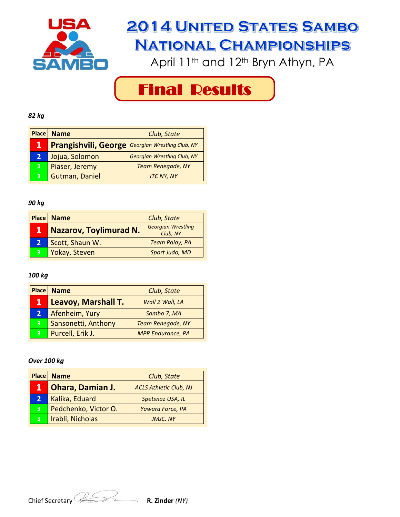

April 11<sup>th</sup> and 12<sup>th</sup> Bryn Athyn, PA

Final Results

#### *82 kg*

|   | Place   Name                                            | Club, State                        |
|---|---------------------------------------------------------|------------------------------------|
|   | <b>Prangishvili, George</b> Georgian Wrestling Club, NY |                                    |
| 2 | Jojua, Solomon                                          | <b>Georgian Wrestling Club, NY</b> |
| 3 | Piaser, Jeremy                                          | <b>Team Renegade, NY</b>           |
|   | Gutman, Daniel                                          | <b>ITC NY, NY</b>                  |

#### *90 kg*

|   | Place   Name                  | Club, State                           |
|---|-------------------------------|---------------------------------------|
| 1 | <b>Nazarov, Toylimurad N.</b> | <b>Georgian Wrestling</b><br>Club, NY |
|   | Scott, Shaun W.               | <b>Team Palay, PA</b>                 |
| 3 | Yokay, Steven                 | Sport Judo, MD                        |

#### *100 kg*

| <b>Place</b>   | <b>Name</b>         | Club, State              |
|----------------|---------------------|--------------------------|
| 1              | Leavoy, Marshall T. | Wall 2 Wall, LA          |
| $\overline{2}$ | Afenheim, Yury      | Sambo 7, MA              |
| 3              | Sansonetti, Anthony | <b>Team Renegade, NY</b> |
| 3              | Purcell, Erik J.    | <b>MPR Endurance, PA</b> |

#### *Over 100 kg*

|              | <b>Place   Name</b>     | Club, State                   |
|--------------|-------------------------|-------------------------------|
| 1            | <b>Ohara, Damian J.</b> | <b>ACLS Athletic Club, NJ</b> |
| $\mathbf{2}$ | Kalika, Eduard          | Spetsnaz USA, IL              |
| 3            | Pedchenko, Victor O.    | Yawara Force, PA              |
| 3            | Irabli, Nicholas        | <b>JMJC. NY</b>               |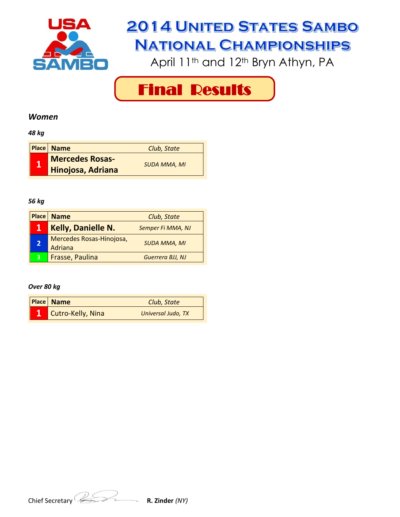

April 11<sup>th</sup> and 12<sup>th</sup> Bryn Athyn, PA



## *Women*

*48 kg*

|             | <b>Place</b> Name      | Club, State         |
|-------------|------------------------|---------------------|
| $\mathbf 1$ | <b>Mercedes Rosas-</b> | <b>SUDA MMA, MI</b> |
|             | Hinojosa, Adriana      |                     |

## *56 kg*

| <b>Place</b>   | <b>Name</b>                         | Club, State         |
|----------------|-------------------------------------|---------------------|
| 1              | <b>Kelly, Danielle N.</b>           | Semper Fi MMA, NJ   |
| $\overline{2}$ | Mercedes Rosas-Hinojosa,<br>Adriana | <b>SUDA MMA, MI</b> |
| 3              | Frasse, Paulina                     | Guerrera BJJ, NJ    |

#### *Over 80 kg*

| <b>Place Name</b> | Club, State        |
|-------------------|--------------------|
| Cutro-Kelly, Nina | Universal Judo, TX |

Chief Secretary **R. Zinder** *(NY)*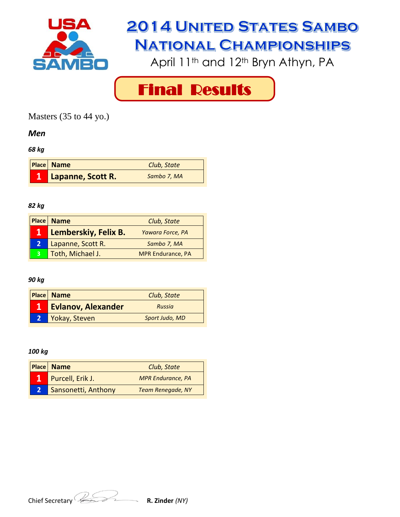

April 11<sup>th</sup> and 12<sup>th</sup> Bryn Athyn, PA



Masters (35 to 44 yo.)

## *Men*

*68 kg*

| <b>Place Name</b> | Club, State |
|-------------------|-------------|
| Lapanne, Scott R. | Sambo 7, MA |

#### *82 kg*

|              | <b>Place   Name</b>  | Club, State              |
|--------------|----------------------|--------------------------|
|              | Lemberskiy, Felix B. | Yawara Force, PA         |
| $\mathbf{2}$ | Lapanne, Scott R.    | Sambo 7, MA              |
|              | Toth, Michael J.     | <b>MPR Endurance, PA</b> |

## *90 kg*

| <b>Place</b> Name         | Club, State    |
|---------------------------|----------------|
| <b>Evlanov, Alexander</b> | Russia         |
| Yokay, Steven             | Sport Judo, MD |

| <b>Place Name</b>   | Club, State              |
|---------------------|--------------------------|
| Purcell, Erik J.    | <b>MPR Endurance, PA</b> |
| Sansonetti, Anthony | <b>Team Renegade, NY</b> |